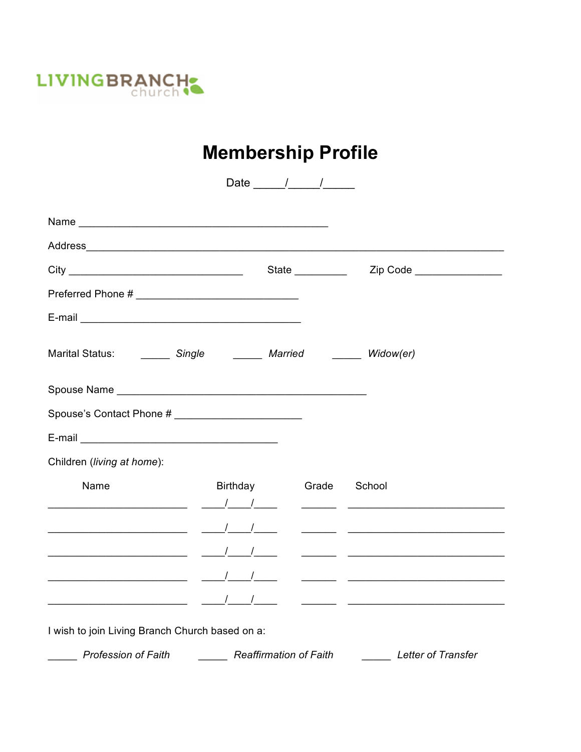

## **Membership Profile**

|                                                                                                                                                                                                                                |                       | Date $\frac{1}{\sqrt{1-\frac{1}{2}}}\frac{1}{\sqrt{1-\frac{1}{2}}}\frac{1}{\sqrt{1-\frac{1}{2}}}\frac{1}{\sqrt{1-\frac{1}{2}}}\frac{1}{\sqrt{1-\frac{1}{2}}}\frac{1}{\sqrt{1-\frac{1}{2}}}\frac{1}{\sqrt{1-\frac{1}{2}}}\frac{1}{\sqrt{1-\frac{1}{2}}}\frac{1}{\sqrt{1-\frac{1}{2}}}\frac{1}{\sqrt{1-\frac{1}{2}}}\frac{1}{\sqrt{1-\frac{1}{2}}}\frac{1}{\sqrt{1-\frac{1}{2}}}\frac{1}{\sqrt{1-\frac{1}{2}}}\frac{1}{\sqrt$ |  |
|--------------------------------------------------------------------------------------------------------------------------------------------------------------------------------------------------------------------------------|-----------------------|-----------------------------------------------------------------------------------------------------------------------------------------------------------------------------------------------------------------------------------------------------------------------------------------------------------------------------------------------------------------------------------------------------------------------------|--|
|                                                                                                                                                                                                                                |                       |                                                                                                                                                                                                                                                                                                                                                                                                                             |  |
| Address Address Address Address Address Address Address Address Address Address Address Address Address Address Address Address Address Address Address Address Address Address Address Address Address Address Address Addres |                       |                                                                                                                                                                                                                                                                                                                                                                                                                             |  |
|                                                                                                                                                                                                                                |                       |                                                                                                                                                                                                                                                                                                                                                                                                                             |  |
|                                                                                                                                                                                                                                |                       |                                                                                                                                                                                                                                                                                                                                                                                                                             |  |
|                                                                                                                                                                                                                                |                       |                                                                                                                                                                                                                                                                                                                                                                                                                             |  |
| Marital Status: _________ Single __________ Married _________ Widow(er)                                                                                                                                                        |                       |                                                                                                                                                                                                                                                                                                                                                                                                                             |  |
|                                                                                                                                                                                                                                |                       |                                                                                                                                                                                                                                                                                                                                                                                                                             |  |
|                                                                                                                                                                                                                                |                       |                                                                                                                                                                                                                                                                                                                                                                                                                             |  |
|                                                                                                                                                                                                                                |                       |                                                                                                                                                                                                                                                                                                                                                                                                                             |  |
| Children (living at home):                                                                                                                                                                                                     |                       |                                                                                                                                                                                                                                                                                                                                                                                                                             |  |
| Name                                                                                                                                                                                                                           | Birthday Grade School |                                                                                                                                                                                                                                                                                                                                                                                                                             |  |
|                                                                                                                                                                                                                                |                       |                                                                                                                                                                                                                                                                                                                                                                                                                             |  |
|                                                                                                                                                                                                                                |                       |                                                                                                                                                                                                                                                                                                                                                                                                                             |  |
|                                                                                                                                                                                                                                |                       |                                                                                                                                                                                                                                                                                                                                                                                                                             |  |
|                                                                                                                                                                                                                                |                       |                                                                                                                                                                                                                                                                                                                                                                                                                             |  |
| I wish to join Living Branch Church based on a:                                                                                                                                                                                |                       |                                                                                                                                                                                                                                                                                                                                                                                                                             |  |
| Profession of Faith <b>Charles Accept Profession of Faith</b> Profession of Faith <b>Charles Accept Profession</b> of Faith                                                                                                    |                       |                                                                                                                                                                                                                                                                                                                                                                                                                             |  |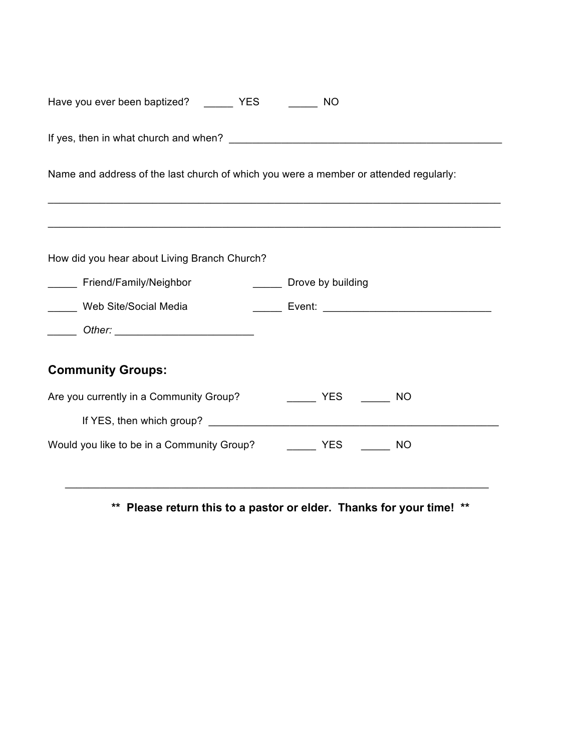| Have you ever been baptized? YES                                                      | <b>NO</b>                          |  |  |  |
|---------------------------------------------------------------------------------------|------------------------------------|--|--|--|
|                                                                                       |                                    |  |  |  |
| Name and address of the last church of which you were a member or attended regularly: |                                    |  |  |  |
| How did you hear about Living Branch Church?                                          |                                    |  |  |  |
|                                                                                       |                                    |  |  |  |
| ______ Friend/Family/Neighbor                                                         | Drove by building                  |  |  |  |
| Web Site/Social Media                                                                 |                                    |  |  |  |
|                                                                                       |                                    |  |  |  |
| <b>Community Groups:</b>                                                              |                                    |  |  |  |
| Are you currently in a Community Group?                                               | <b>EXERENT PROPER</b><br><b>NO</b> |  |  |  |
|                                                                                       |                                    |  |  |  |
| Would you like to be in a Community Group? The MC NO                                  |                                    |  |  |  |

**\*\* Please return this to a pastor or elder. Thanks for your time! \*\***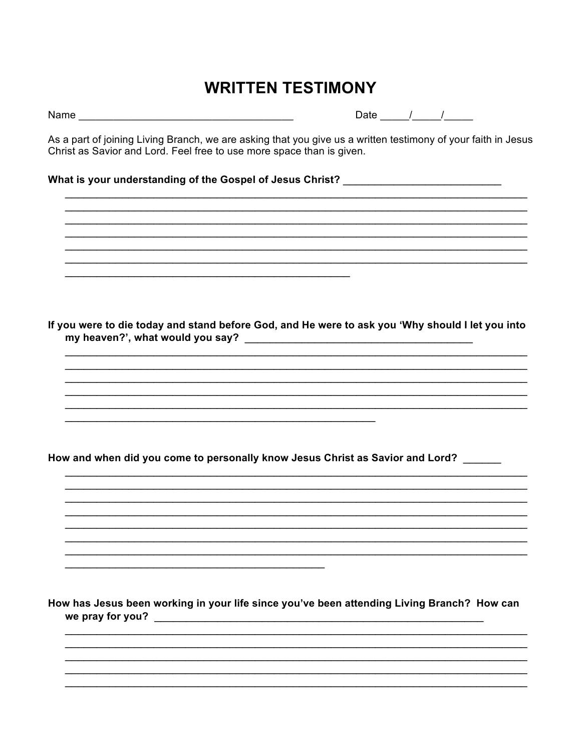## **WRITTEN TESTIMONY**

Date  $\frac{1}{\sqrt{1-\frac{1}{2}}}$ 

As a part of joining Living Branch, we are asking that you give us a written testimony of your faith in Jesus Christ as Savior and Lord. Feel free to use more space than is given.

What is your understanding of the Gospel of Jesus Christ? \_\_\_\_\_\_\_\_\_\_\_\_\_\_\_\_\_\_\_\_\_\_

If you were to die today and stand before God, and He were to ask you 'Why should I let you into 

How and when did you come to personally know Jesus Christ as Savior and Lord?

How has Jesus been working in your life since you've been attending Living Branch? How can